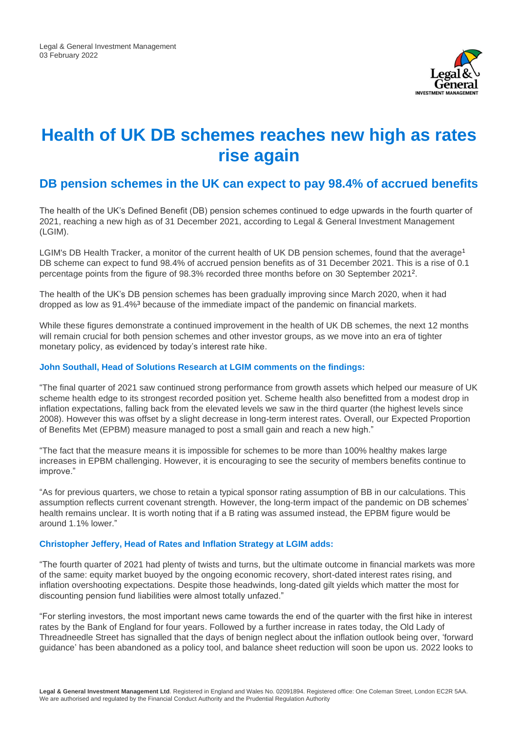

# **Health of UK DB schemes reaches new high as rates rise again**

# **DB pension schemes in the UK can expect to pay 98.4% of accrued benefits**

The health of the UK's Defined Benefit (DB) pension schemes continued to edge upwards in the fourth quarter of 2021, reaching a new high as of 31 December 2021, according to Legal & General Investment Management (LGIM).

LGIM's DB Health Tracker, a monitor of the current health of UK DB pension schemes, found that the average<sup>1</sup> DB scheme can expect to fund 98.4% of accrued pension benefits as of 31 December 2021. This is a rise of 0.1 percentage points from the figure of 98.3% recorded three months before on 30 September 2021<sup>2</sup> .

The health of the UK's DB pension schemes has been gradually improving since March 2020, when it had dropped as low as 91.4%<sup>3</sup> because of the immediate impact of the pandemic on financial markets.

While these figures demonstrate a continued improvement in the health of UK DB schemes, the next 12 months will remain crucial for both pension schemes and other investor groups, as we move into an era of tighter monetary policy, as evidenced by today's interest rate hike.

### **John Southall, Head of Solutions Research at LGIM comments on the findings:**

"The final quarter of 2021 saw continued strong performance from growth assets which helped our measure of UK scheme health edge to its strongest recorded position yet. Scheme health also benefitted from a modest drop in inflation expectations, falling back from the elevated levels we saw in the third quarter (the highest levels since 2008). However this was offset by a slight decrease in long-term interest rates. Overall, our Expected Proportion of Benefits Met (EPBM) measure managed to post a small gain and reach a new high."

"The fact that the measure means it is impossible for schemes to be more than 100% healthy makes large increases in EPBM challenging. However, it is encouraging to see the security of members benefits continue to improve."

"As for previous quarters, we chose to retain a typical sponsor rating assumption of BB in our calculations. This assumption reflects current covenant strength. However, the long-term impact of the pandemic on DB schemes' health remains unclear. It is worth noting that if a B rating was assumed instead, the EPBM figure would be around 1.1% lower."

### **Christopher Jeffery, Head of Rates and Inflation Strategy at LGIM adds:**

"The fourth quarter of 2021 had plenty of twists and turns, but the ultimate outcome in financial markets was more of the same: equity market buoyed by the ongoing economic recovery, short-dated interest rates rising, and inflation overshooting expectations. Despite those headwinds, long-dated gilt yields which matter the most for discounting pension fund liabilities were almost totally unfazed."

"For sterling investors, the most important news came towards the end of the quarter with the first hike in interest rates by the Bank of England for four years. Followed by a further increase in rates today, the Old Lady of Threadneedle Street has signalled that the days of benign neglect about the inflation outlook being over, 'forward guidance' has been abandoned as a policy tool, and balance sheet reduction will soon be upon us. 2022 looks to